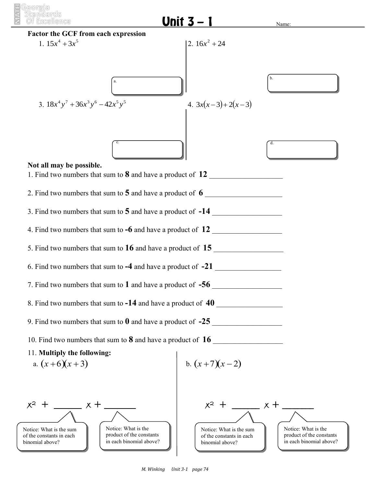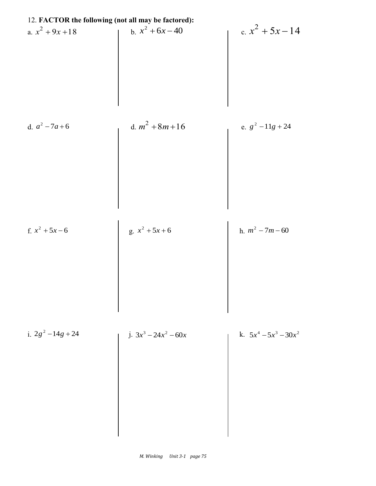| 12. FACTOR the following (not all may be factored): |                         |                          |
|-----------------------------------------------------|-------------------------|--------------------------|
| a. $x^2 + 9x + 18$                                  | b. $x^2 + 6x - 40$      | c. $x^2 + 5x - 14$       |
| d. $a^2 - 7a + 6$                                   | d. $m^2 + 8m + 16$      | e. $g^2 - 11g + 24$      |
| f. $x^2 + 5x - 6$                                   | g. $x^2 + 5x + 6$       | h. $m^2 - 7m - 60$       |
| i. $2g^2 - 14g + 24$                                | j. $3x^3 - 24x^2 - 60x$ | k. $5x^4 - 5x^3 - 30x^2$ |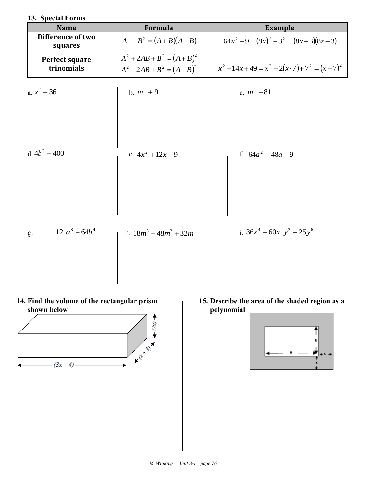| 13. Special Forms            |                                                                      |                                                  |
|------------------------------|----------------------------------------------------------------------|--------------------------------------------------|
| <b>Name</b>                  | Formula                                                              | <b>Example</b>                                   |
| Difference of two<br>squares | $A^{2}-B^{2} = (A+B)(A-B)$                                           | $64x^{2}-9 = (8x)^{2} -3^{2} = (8x+3)(8x-3)$     |
| Perfect square<br>trinomials | $A^{2} + 2AB + B^{2} = (A + B)^{2}$<br>$A^2 - 2AB + B^2 = (A - B)^2$ | $x^{2}-14x+49=x^{2}-2(x\cdot 7)+7^{2}=(x-7)^{2}$ |
| a. $x^2 - 36$                | b. $m^2 + 9$                                                         | c. $m^4 - 81$                                    |
| d. $4b^2 - 400$              | e. $4x^2 + 12x + 9$                                                  | f. $64a^2 - 48a + 9$                             |
| $121a^8 - 64b^4$<br>g.       | h. $18m^5 + 48m^3 + 32m$                                             | i. $36x^4 - 60x^2y^3 + 25y^6$                    |

## **14. Find the volume of the rectangular prism shown below**



**15. Describe the area of the shaded region as a polynomial**